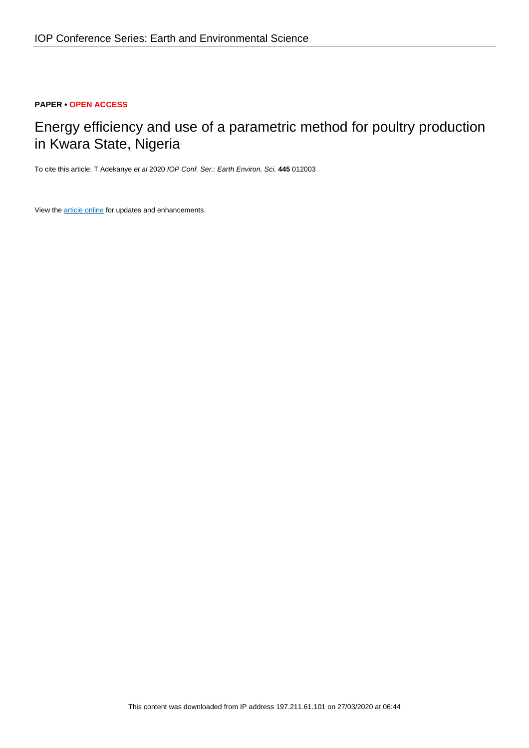### **PAPER • OPEN ACCESS**

# Energy efficiency and use of a parametric method for poultry production in Kwara State, Nigeria

To cite this article: T Adekanye et al 2020 IOP Conf. Ser.: Earth Environ. Sci. **445** 012003

View the [article online](https://doi.org/10.1088/1755-1315/445/1/012003) for updates and enhancements.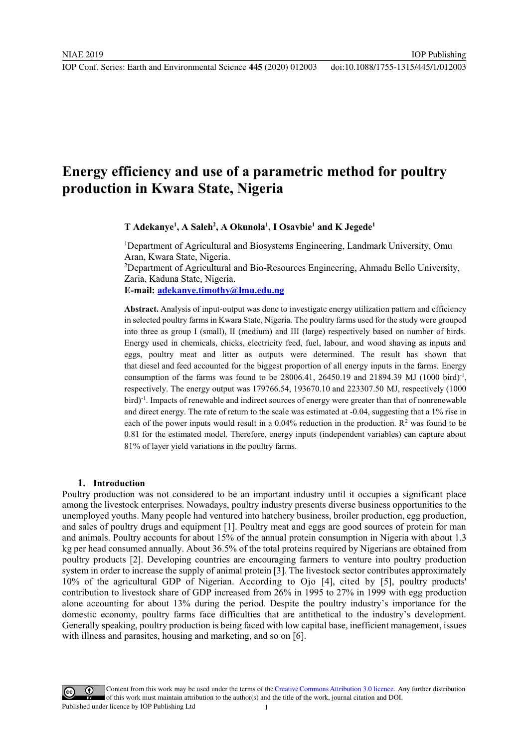IOP Publishing

## **Energy efficiency and use of a parametric method for poultry production in Kwara State, Nigeria**

**T Adekanye1 , A Saleh2 , A Okunola1 , I Osavbie1 and K Jegede1**

<sup>1</sup>Department of Agricultural and Biosystems Engineering, Landmark University, Omu Aran, Kwara State, Nigeria. 2 Department of Agricultural and Bio-Resources Engineering, Ahmadu Bello University,

Zaria, Kaduna State, Nigeria.

**E-mail: adekanye.timothy@lmu.edu.ng**

**Abstract.** Analysis of input-output was done to investigate energy utilization pattern and efficiency in selected poultry farms in Kwara State, Nigeria. The poultry farms used for the study were grouped into three as group I (small), II (medium) and III (large) respectively based on number of birds. Energy used in chemicals, chicks, electricity feed, fuel, labour, and wood shaving as inputs and eggs, poultry meat and litter as outputs were determined. The result has shown that that diesel and feed accounted for the biggest proportion of all energy inputs in the farms. Energy consumption of the farms was found to be 28006.41, 26450.19 and 21894.39 MJ (1000 bird)<sup>-1</sup>, respectively. The energy output was 179766.54, 193670.10 and 223307.50 MJ, respectively (1000 bird)<sup>-1</sup>. Impacts of renewable and indirect sources of energy were greater than that of nonrenewable and direct energy. The rate of return to the scale was estimated at -0.04, suggesting that a 1% rise in each of the power inputs would result in a  $0.04\%$  reduction in the production.  $\mathbb{R}^2$  was found to be 0.81 for the estimated model. Therefore, energy inputs (independent variables) can capture about 81% of layer yield variations in the poultry farms.

#### **1. Introduction**

Poultry production was not considered to be an important industry until it occupies a significant place among the livestock enterprises. Nowadays, poultry industry presents diverse business opportunities to the unemployed youths. Many people had ventured into hatchery business, broiler production, egg production, and sales of poultry drugs and equipment [1]. Poultry meat and eggs are good sources of protein for man and animals. Poultry accounts for about 15% of the annual protein consumption in Nigeria with about 1.3 kg per head consumed annually. About 36.5% of the total proteins required by Nigerians are obtained from poultry products [2]. Developing countries are encouraging farmers to venture into poultry production system in order to increase the supply of animal protein [3]. The livestock sector contributes approximately 10% of the agricultural GDP of Nigerian. According to Ojo [4], cited by [5], poultry products' contribution to livestock share of GDP increased from 26% in 1995 to 27% in 1999 with egg production alone accounting for about 13% during the period. Despite the poultry industry's importance for the domestic economy, poultry farms face difficulties that are antithetical to the industry's development. Generally speaking, poultry production is being faced with low capital base, inefficient management, issues with illness and parasites, housing and marketing, and so on [6].

Content from this work may be used under the terms of theCreative Commons Attribution 3.0 licence. Any further distribution of this work must maintain attribution to the author(s) and the title of the work, journal citation and DOI. Published under licence by IOP Publishing Ltd 1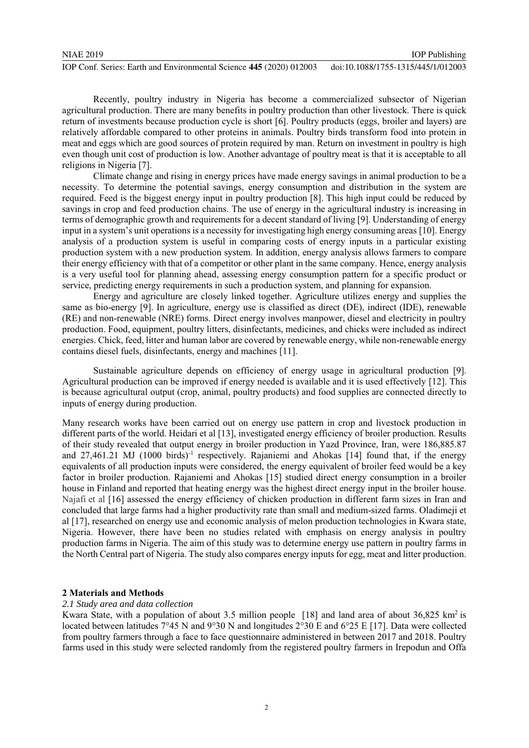Recently, poultry industry in Nigeria has become a commercialized subsector of Nigerian agricultural production. There are many benefits in poultry production than other livestock. There is quick return of investments because production cycle is short [6]. Poultry products (eggs, broiler and layers) are relatively affordable compared to other proteins in animals. Poultry birds transform food into protein in meat and eggs which are good sources of protein required by man. Return on investment in poultry is high even though unit cost of production is low. Another advantage of poultry meat is that it is acceptable to all religions in Nigeria [7].

Climate change and rising in energy prices have made energy savings in animal production to be a necessity. To determine the potential savings, energy consumption and distribution in the system are required. Feed is the biggest energy input in poultry production [8]. This high input could be reduced by savings in crop and feed production chains. The use of energy in the agricultural industry is increasing in terms of demographic growth and requirements for a decent standard of living [9]. Understanding of energy input in a system's unit operations is a necessity for investigating high energy consuming areas [10]. Energy analysis of a production system is useful in comparing costs of energy inputs in a particular existing production system with a new production system. In addition, energy analysis allows farmers to compare their energy efficiency with that of a competitor or other plant in the same company. Hence, energy analysis is a very useful tool for planning ahead, assessing energy consumption pattern for a specific product or service, predicting energy requirements in such a production system, and planning for expansion.

Energy and agriculture are closely linked together. Agriculture utilizes energy and supplies the same as bio-energy [9]. In agriculture, energy use is classified as direct (DE), indirect (IDE), renewable (RE) and non-renewable (NRE) forms. Direct energy involves manpower, diesel and electricity in poultry production. Food, equipment, poultry litters, disinfectants, medicines, and chicks were included as indirect energies. Chick, feed, litter and human labor are covered by renewable energy, while non-renewable energy contains diesel fuels, disinfectants, energy and machines [11].

Sustainable agriculture depends on efficiency of energy usage in agricultural production [9]. Agricultural production can be improved if energy needed is available and it is used effectively [12]. This is because agricultural output (crop, animal, poultry products) and food supplies are connected directly to inputs of energy during production.

Many research works have been carried out on energy use pattern in crop and livestock production in different parts of the world. Heidari et al [13], investigated energy efficiency of broiler production. Results of their study revealed that output energy in broiler production in Yazd Province, Iran, were 186,885.87 and  $27,461.21$  MJ (1000 birds)<sup>-1</sup> respectively. Rajaniemi and Ahokas [14] found that, if the energy equivalents of all production inputs were considered, the energy equivalent of broiler feed would be a key factor in broiler production. Rajaniemi and Ahokas [15] studied direct energy consumption in a broiler house in Finland and reported that heating energy was the highest direct energy input in the broiler house. Najafi et al [16] assessed the energy efficiency of chicken production in different farm sizes in Iran and concluded that large farms had a higher productivity rate than small and medium-sized farms. Oladimeji et al [17], researched on energy use and economic analysis of melon production technologies in Kwara state, Nigeria. However, there have been no studies related with emphasis on energy analysis in poultry production farms in Nigeria. The aim of this study was to determine energy use pattern in poultry farms in the North Central part of Nigeria. The study also compares energy inputs for egg, meat and litter production.

#### **2 Materials and Methods**

#### *2.1 Study area and data collection*

Kwara State, with a population of about 3.5 million people [18] and land area of about 36,825 km<sup>2</sup> is located between latitudes 7°45 N and 9°30 N and longitudes 2°30 E and 6°25 E [17]. Data were collected from poultry farmers through a face to face questionnaire administered in between 2017 and 2018. Poultry farms used in this study were selected randomly from the registered poultry farmers in Irepodun and Offa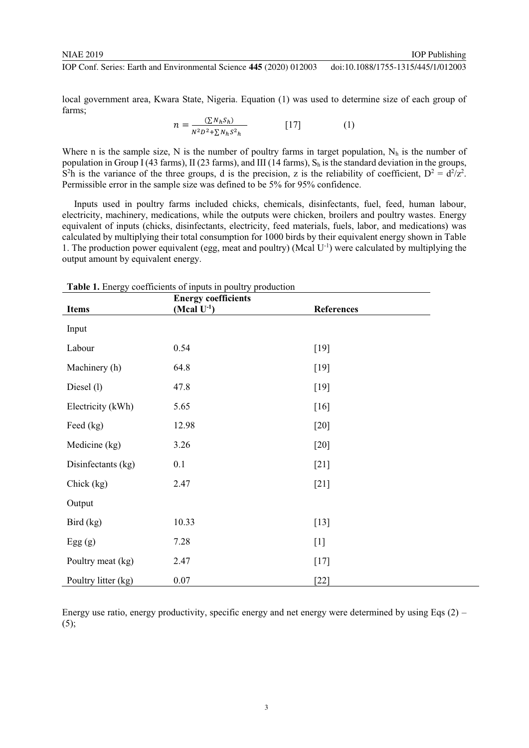local government area, Kwara State, Nigeria. Equation (1) was used to determine size of each group of farms;

$$
n = \frac{\sum N_h S_h}{N^2 D^2 + \sum N_h S^2_h}
$$
 [17] (1)

Where n is the sample size, N is the number of poultry farms in target population,  $N_h$  is the number of population in Group I (43 farms), II (23 farms), and III (14 farms),  $S_h$  is the standard deviation in the groups, S<sup>2</sup>h is the variance of the three groups, d is the precision, z is the reliability of coefficient,  $D^2 = d^2/z^2$ . Permissible error in the sample size was defined to be 5% for 95% confidence.

 Inputs used in poultry farms included chicks, chemicals, disinfectants, fuel, feed, human labour, electricity, machinery, medications, while the outputs were chicken, broilers and poultry wastes. Energy equivalent of inputs (chicks, disinfectants, electricity, feed materials, fuels, labor, and medications) was calculated by multiplying their total consumption for 1000 birds by their equivalent energy shown in Table 1. The production power equivalent (egg, meat and poultry) (Mcal U-1) were calculated by multiplying the output amount by equivalent energy.

| <b>Items</b>        | <b>Energy coefficients</b><br>(Mcal $U^{-1}$ ) | References |
|---------------------|------------------------------------------------|------------|
| Input               |                                                |            |
| Labour              | 0.54                                           | $[19]$     |
| Machinery (h)       | 64.8                                           | $[19]$     |
| Diesel (1)          | 47.8                                           | $[19]$     |
| Electricity (kWh)   | 5.65                                           | $[16]$     |
| Feed (kg)           | 12.98                                          | $[20]$     |
| Medicine (kg)       | 3.26                                           | $[20]$     |
| Disinfectants (kg)  | 0.1                                            | $[21]$     |
| Chick (kg)          | 2.47                                           | $[21]$     |
| Output              |                                                |            |
| Bird (kg)           | 10.33                                          | $[13]$     |
| Egg(g)              | 7.28                                           | $[1]$      |
| Poultry meat (kg)   | 2.47                                           | $[17]$     |
| Poultry litter (kg) | $0.07\,$                                       | $[22]$     |

**Table 1.** Energy coefficients of inputs in poultry production

Energy use ratio, energy productivity, specific energy and net energy were determined by using Eqs (2) –  $(5);$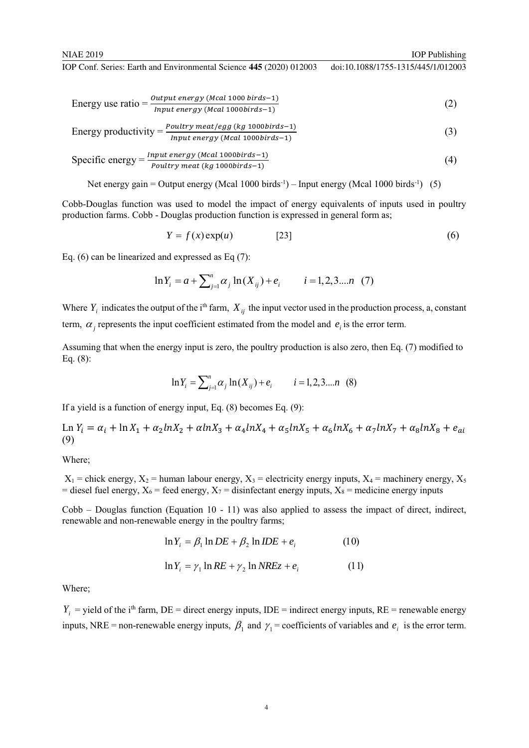Energy use ratio = 
$$
\frac{Output \text{ energy} (Mcal 1000 \text{ birds} - 1)}{Input \text{ energy} (Mcal 1000 \text{ birds} - 1)}
$$
(2)

Energy productivity = 
$$
\frac{Poultry \; meat/egg \; (kg \; 1000 \, birds-1)}{Input \; energy \; (Mcal \; 1000 \, birds-1)}
$$
 (3)

$$
Specific energy = \frac{Input energy (Mcal 1000 birds-1)}{Poultry meat (kg 1000 birds-1)}
$$
(4)

Net energy gain = Output energy (Mcal 1000 birds<sup>-1</sup>) – Input energy (Mcal 1000 birds<sup>-1</sup>) (5)

Cobb-Douglas function was used to model the impact of energy equivalents of inputs used in poultry production farms. Cobb - Douglas production function is expressed in general form as;

$$
Y = f(x) \exp(u) \tag{6}
$$

Eq. (6) can be linearized and expressed as Eq (7):

$$
\ln Y_i = a + \sum_{j=1}^n \alpha_j \ln(X_{ij}) + e_i \qquad i = 1, 2, 3, \dots n \tag{7}
$$

Where  $Y_i$  indicates the output of the i<sup>th</sup> farm,  $X_{ii}$  the input vector used in the production process, a, constant term,  $\alpha_i$  represents the input coefficient estimated from the model and  $e_i$  is the error term.

Assuming that when the energy input is zero, the poultry production is also zero, then Eq. (7) modified to Eq. (8):

$$
\ln Y_i = \sum_{j=1}^n \alpha_j \ln(X_{ij}) + e_i \qquad i = 1, 2, 3...n \quad (8)
$$

If a yield is a function of energy input, Eq. (8) becomes Eq. (9):

 $\text{Ln } Y_i = \alpha_i + \ln X_1 + \alpha_2 \ln X_2 + \alpha \ln X_3 + \alpha_4 \ln X_4 + \alpha_5 \ln X_5 + \alpha_6 \ln X_6 + \alpha_7 \ln X_7 + \alpha_8 \ln X_8 + e_{ai}$ (9)

Where;

 $X_1$  = chick energy,  $X_2$  = human labour energy,  $X_3$  = electricity energy inputs,  $X_4$  = machinery energy,  $X_5$ = diesel fuel energy,  $X_6$  = feed energy,  $X_7$  = disinfectant energy inputs,  $X_8$  = medicine energy inputs

Cobb – Douglas function (Equation 10 - 11) was also applied to assess the impact of direct, indirect, renewable and non-renewable energy in the poultry farms;

$$
\ln Y_i = \beta_1 \ln DE + \beta_2 \ln IDE + e_i \tag{10}
$$

$$
\ln Y_i = \gamma_1 \ln RE + \gamma_2 \ln NREz + e_i \tag{11}
$$

Where;

 $Y_i$  = yield of the i<sup>th</sup> farm, DE = direct energy inputs, IDE = indirect energy inputs, RE = renewable energy inputs, NRE = non-renewable energy inputs,  $\beta_1$  and  $\gamma_1$  = coefficients of variables and  $e_i$  is the error term.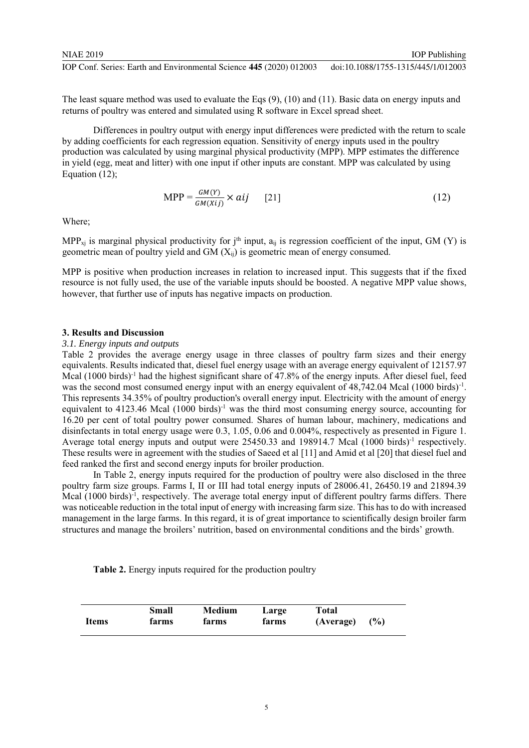The least square method was used to evaluate the Eqs (9), (10) and (11). Basic data on energy inputs and returns of poultry was entered and simulated using R software in Excel spread sheet.

Differences in poultry output with energy input differences were predicted with the return to scale by adding coefficients for each regression equation. Sensitivity of energy inputs used in the poultry production was calculated by using marginal physical productivity (MPP). MPP estimates the difference in yield (egg, meat and litter) with one input if other inputs are constant. MPP was calculated by using Equation (12);

$$
MPP = \frac{GM(Y)}{GM(Xij)} \times aij \qquad [21]
$$
 (12)

Where;

MPP<sub>xi</sub> is marginal physical productivity for j<sup>th</sup> input,  $a_{ii}$  is regression coefficient of the input, GM (Y) is geometric mean of poultry yield and GM (Xij) is geometric mean of energy consumed.

MPP is positive when production increases in relation to increased input. This suggests that if the fixed resource is not fully used, the use of the variable inputs should be boosted. A negative MPP value shows, however, that further use of inputs has negative impacts on production.

#### **3. Results and Discussion**

#### *3.1. Energy inputs and outputs*

Table 2 provides the average energy usage in three classes of poultry farm sizes and their energy equivalents. Results indicated that, diesel fuel energy usage with an average energy equivalent of 12157.97 Mcal (1000 birds)<sup>-1</sup> had the highest significant share of 47.8% of the energy inputs. After diesel fuel, feed was the second most consumed energy input with an energy equivalent of 48,742.04 Mcal (1000 birds)<sup>-1</sup>. This represents 34.35% of poultry production's overall energy input. Electricity with the amount of energy equivalent to 4123.46 Mcal (1000 birds)<sup>-1</sup> was the third most consuming energy source, accounting for 16.20 per cent of total poultry power consumed. Shares of human labour, machinery, medications and disinfectants in total energy usage were 0.3, 1.05, 0.06 and 0.004%, respectively as presented in Figure 1. Average total energy inputs and output were 25450.33 and 198914.7 Mcal (1000 birds)<sup>-1</sup> respectively. These results were in agreement with the studies of Saeed et al [11] and Amid et al [20] that diesel fuel and feed ranked the first and second energy inputs for broiler production.

In Table 2, energy inputs required for the production of poultry were also disclosed in the three poultry farm size groups. Farms I, II or III had total energy inputs of 28006.41, 26450.19 and 21894.39 Mcal (1000 birds)<sup>-1</sup>, respectively. The average total energy input of different poultry farms differs. There was noticeable reduction in the total input of energy with increasing farm size. This has to do with increased management in the large farms. In this regard, it is of great importance to scientifically design broiler farm structures and manage the broilers' nutrition, based on environmental conditions and the birds' growth.

**Table 2.** Energy inputs required for the production poultry

|       | Small | Medium | Large | Total     |        |
|-------|-------|--------|-------|-----------|--------|
| Items | farms | farms  | farms | (Average) | $($ %) |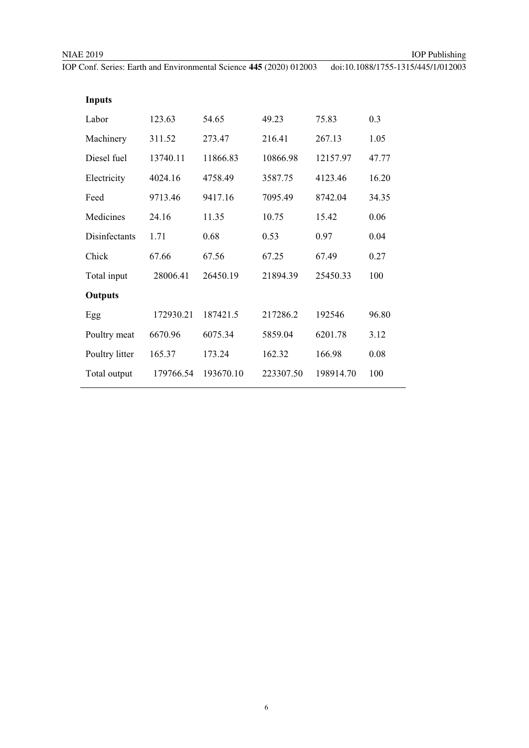| <b>Inputs</b>  |           |           |           |           |       |
|----------------|-----------|-----------|-----------|-----------|-------|
| Labor          | 123.63    | 54.65     | 49.23     | 75.83     | 0.3   |
| Machinery      | 311.52    | 273.47    | 216.41    | 267.13    | 1.05  |
| Diesel fuel    | 13740.11  | 11866.83  | 10866.98  | 12157.97  | 47.77 |
| Electricity    | 4024.16   | 4758.49   | 3587.75   | 4123.46   | 16.20 |
| Feed           | 9713.46   | 9417.16   | 7095.49   | 8742.04   | 34.35 |
| Medicines      | 24.16     | 11.35     | 10.75     | 15.42     | 0.06  |
| Disinfectants  | 1.71      | 0.68      | 0.53      | 0.97      | 0.04  |
| Chick          | 67.66     | 67.56     | 67.25     | 67.49     | 0.27  |
| Total input    | 28006.41  | 26450.19  | 21894.39  | 25450.33  | 100   |
| <b>Outputs</b> |           |           |           |           |       |
| Egg            | 172930.21 | 187421.5  | 217286.2  | 192546    | 96.80 |
| Poultry meat   | 6670.96   | 6075.34   | 5859.04   | 6201.78   | 3.12  |
| Poultry litter | 165.37    | 173.24    | 162.32    | 166.98    | 0.08  |
| Total output   | 179766.54 | 193670.10 | 223307.50 | 198914.70 | 100   |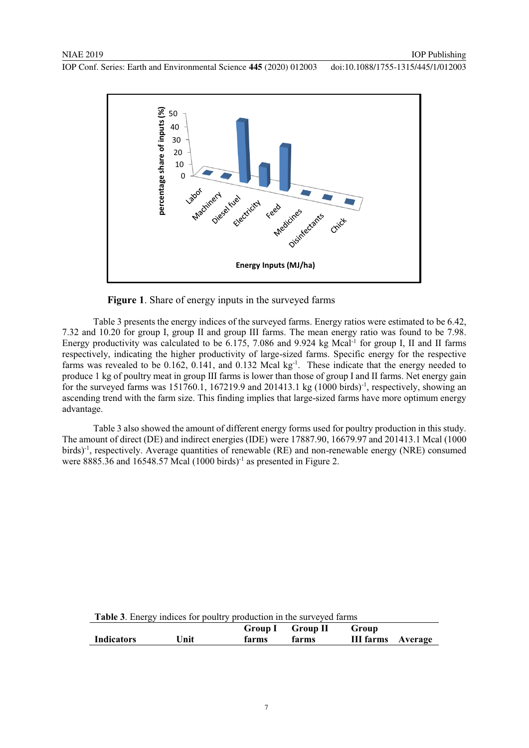



Table 3 presents the energy indices of the surveyed farms. Energy ratios were estimated to be 6.42, 7.32 and 10.20 for group I, group II and group III farms. The mean energy ratio was found to be 7.98. Energy productivity was calculated to be 6.175, 7.086 and 9.924 kg Mcal<sup>-1</sup> for group I, II and II farms respectively, indicating the higher productivity of large-sized farms. Specific energy for the respective farms was revealed to be 0.162, 0.141, and 0.132 Mcal kg<sup>-1</sup>. These indicate that the energy needed to produce 1 kg of poultry meat in group III farms is lower than those of group I and II farms. Net energy gain for the surveyed farms was  $151760.1$ ,  $167219.9$  and  $201413.1$  kg  $(1000 \text{ birds})^{-1}$ , respectively, showing an ascending trend with the farm size. This finding implies that large-sized farms have more optimum energy advantage.

Table 3 also showed the amount of different energy forms used for poultry production in this study. The amount of direct (DE) and indirect energies (IDE) were 17887.90, 16679.97 and 201413.1 Mcal (1000 birds)<sup>-1</sup>, respectively. Average quantities of renewable (RE) and non-renewable energy (NRE) consumed were  $8885.36$  and  $16548.57$  Mcal  $(1000$  birds)<sup>-1</sup> as presented in Figure 2.

| <b>Table 3.</b> Energy indices for poultry production in the surveyed farms |      |       |                  |                          |  |
|-----------------------------------------------------------------------------|------|-------|------------------|--------------------------|--|
|                                                                             |      |       | Group I Group II | Group                    |  |
| <b>Indicators</b>                                                           | Unit | farms | farms            | <b>III farms</b> Average |  |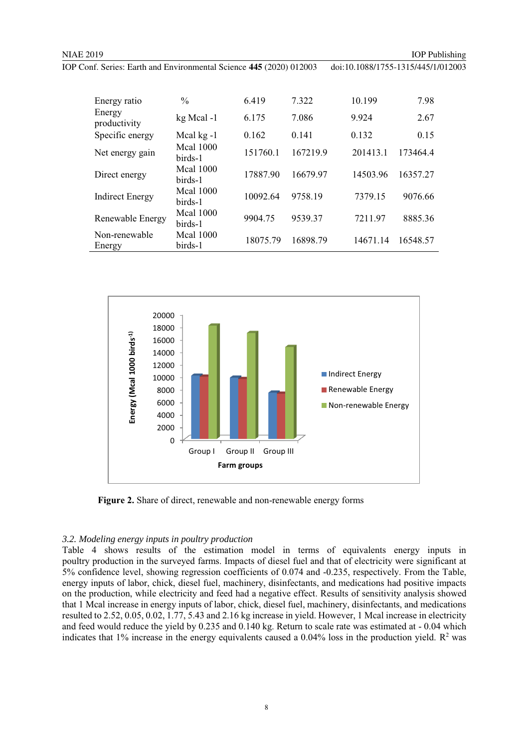| Energy ratio            | $\frac{0}{0}$               | 6.419    | 7.322    | 10.199   | 7.98     |
|-------------------------|-----------------------------|----------|----------|----------|----------|
| Energy<br>productivity  | kg Mcal-1                   | 6.175    | 7.086    | 9.924    | 2.67     |
| Specific energy         | Mcal kg -1                  | 0.162    | 0.141    | 0.132    | 0.15     |
| Net energy gain         | <b>Mcal 1000</b><br>birds-1 | 151760.1 | 167219.9 | 201413.1 | 173464.4 |
| Direct energy           | <b>Mcal 1000</b><br>birds-1 | 17887.90 | 16679.97 | 14503.96 | 16357.27 |
| <b>Indirect Energy</b>  | <b>Mcal</b> 1000<br>birds-1 | 10092.64 | 9758.19  | 7379.15  | 9076.66  |
| Renewable Energy        | <b>Mcal</b> 1000<br>birds-1 | 9904.75  | 9539.37  | 7211.97  | 8885.36  |
| Non-renewable<br>Energy | <b>Mcal 1000</b><br>birds-1 | 18075.79 | 16898.79 | 14671.14 | 16548.57 |



 **Figure 2.** Share of direct, renewable and non-renewable energy forms

#### *3.2. Modeling energy inputs in poultry production*

Table 4 shows results of the estimation model in terms of equivalents energy inputs in poultry production in the surveyed farms. Impacts of diesel fuel and that of electricity were significant at 5% confidence level, showing regression coefficients of 0.074 and -0.235, respectively. From the Table, energy inputs of labor, chick, diesel fuel, machinery, disinfectants, and medications had positive impacts on the production, while electricity and feed had a negative effect. Results of sensitivity analysis showed that 1 Mcal increase in energy inputs of labor, chick, diesel fuel, machinery, disinfectants, and medications resulted to 2.52, 0.05, 0.02, 1.77, 5.43 and 2.16 kg increase in yield. However, 1 Mcal increase in electricity and feed would reduce the yield by 0.235 and 0.140 kg. Return to scale rate was estimated at - 0.04 which indicates that  $1\%$  increase in the energy equivalents caused a 0.04% loss in the production yield.  $\mathbb{R}^2$  was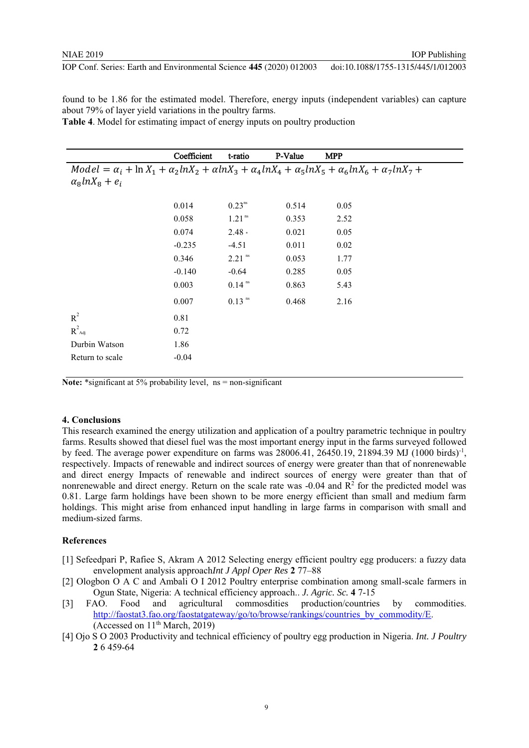found to be 1.86 for the estimated model. Therefore, energy inputs (independent variables) can capture about 79% of layer yield variations in the poultry farms.

**Table 4**. Model for estimating impact of energy inputs on poultry production

|                                                                                                                                                | Coefficient | t-ratio              | P-Value | <b>MPP</b> |  |  |
|------------------------------------------------------------------------------------------------------------------------------------------------|-------------|----------------------|---------|------------|--|--|
| $Model = \alpha_i + \ln X_1 + \alpha_2 \ln X_2 + \alpha \ln X_3 + \alpha_4 \ln X_4 + \alpha_5 \ln X_5 + \alpha_6 \ln X_6 + \alpha_7 \ln X_7 +$ |             |                      |         |            |  |  |
| $\alpha_8 ln X_8 + e_i$                                                                                                                        |             |                      |         |            |  |  |
|                                                                                                                                                |             |                      |         |            |  |  |
|                                                                                                                                                | 0.014       | $0.23^{\text{ns}}$   | 0.514   | 0.05       |  |  |
|                                                                                                                                                | 0.058       | $1.21$ <sup>ns</sup> | 0.353   | 2.52       |  |  |
|                                                                                                                                                | 0.074       | $2.48 *$             | 0.021   | 0.05       |  |  |
|                                                                                                                                                | $-0.235$    | $-4.51$              | 0.011   | 0.02       |  |  |
|                                                                                                                                                | 0.346       | $2.21$ <sup>ns</sup> | 0.053   | 1.77       |  |  |
|                                                                                                                                                | $-0.140$    | $-0.64$              | 0.285   | 0.05       |  |  |
|                                                                                                                                                | 0.003       | $0.14$ <sup>ns</sup> | 0.863   | 5.43       |  |  |
|                                                                                                                                                | 0.007       | $0.13$ <sup>ns</sup> | 0.468   | 2.16       |  |  |
| $R^2$                                                                                                                                          | 0.81        |                      |         |            |  |  |
| $R^2_{\text{Adj}}$                                                                                                                             | 0.72        |                      |         |            |  |  |
| Durbin Watson                                                                                                                                  | 1.86        |                      |         |            |  |  |
| Return to scale                                                                                                                                | $-0.04$     |                      |         |            |  |  |

Note: \*significant at 5% probability level, ns = non-significant

#### **4. Conclusions**

This research examined the energy utilization and application of a poultry parametric technique in poultry farms. Results showed that diesel fuel was the most important energy input in the farms surveyed followed by feed. The average power expenditure on farms was  $28006.41$ ,  $26450.19$ ,  $21894.39$  MJ (1000 birds)<sup>-1</sup>, respectively. Impacts of renewable and indirect sources of energy were greater than that of nonrenewable and direct energy Impacts of renewable and indirect sources of energy were greater than that of nonrenewable and direct energy. Return on the scale rate was  $-0.04$  and  $\mathbb{R}^2$  for the predicted model was 0.81. Large farm holdings have been shown to be more energy efficient than small and medium farm holdings. This might arise from enhanced input handling in large farms in comparison with small and medium-sized farms.

#### **References**

- [1] Sefeedpari P, Rafiee S, Akram A 2012 Selecting energy efficient poultry egg producers: a fuzzy data envelopment analysis approach*Int J Appl Oper Res* **2** 77–88
- [2] Ologbon O A C and Ambali O I 2012 Poultry enterprise combination among small-scale farmers in Ogun State, Nigeria: A technical efficiency approach.. *J. Agric. Sc.* **4** 7-15
- [3] FAO. Food and agricultural commosdities production/countries by commodities. http://faostat3.fao.org/faostatgateway/go/to/browse/rankings/countries\_by\_commodity/E. (Accessed on  $11<sup>th</sup> March, 2019$ )
- [4] Ojo S O 2003 Productivity and technical efficiency of poultry egg production in Nigeria. *Int. J Poultry* **2** 6 459-64